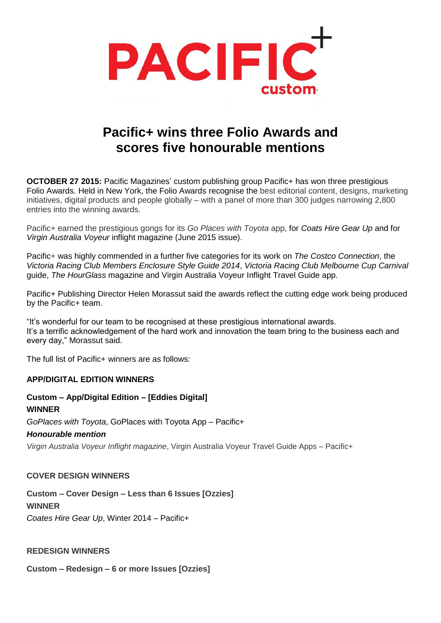

# **Pacific+ wins three Folio Awards and scores five honourable mentions**

**OCTOBER 27 2015:** Pacific Magazines' custom publishing group Pacific+ has won three prestigious Folio Awards. Held in New York, the Folio Awards recognise the best editorial content, designs, marketing initiatives, digital products and people globally – with a panel of more than 300 judges narrowing 2,800 entries into the winning awards.

Pacific+ earned the prestigious gongs for its *Go Places with Toyota* app, for *Coats Hire Gear Up* and for *Virgin Australia Voyeur* inflight magazine (June 2015 issue).

Pacific+ was highly commended in a further five categories for its work on *The Costco Connection*, the *Victoria Racing Club Members Enclosure Style Guide 2014*, *Victoria Racing Club Melbourne Cup Carnival*  guide, *The HourGlass* magazine and Virgin Australia Voyeur Inflight Travel Guide app.

Pacific+ Publishing Director Helen Morassut said the awards reflect the cutting edge work being produced by the Pacific+ team.

"It's wonderful for our team to be recognised at these prestigious international awards. It's a terrific acknowledgement of the hard work and innovation the team bring to the business each and every day," Morassut said.

The full list of Pacific+ winners are as follows:

#### **APP/DIGITAL EDITION WINNERS**

#### **Custom – App/Digital Edition – [Eddies Digital] WINNER**

*GoPlaces with Toyota*, GoPlaces with Toyota App – Pacific+

#### *Honourable mention*

*Virgin Australia Voyeur Inflight magazine*, Virgin Australia Voyeur Travel Guide Apps – Pacific+

#### **COVER DESIGN WINNERS**

**Custom – Cover Design – Less than 6 Issues [Ozzies]**

### **WINNER**

*Coates Hire Gear Up*, Winter 2014 – Pacific+

#### **REDESIGN WINNERS**

**Custom – Redesign – 6 or more Issues [Ozzies]**